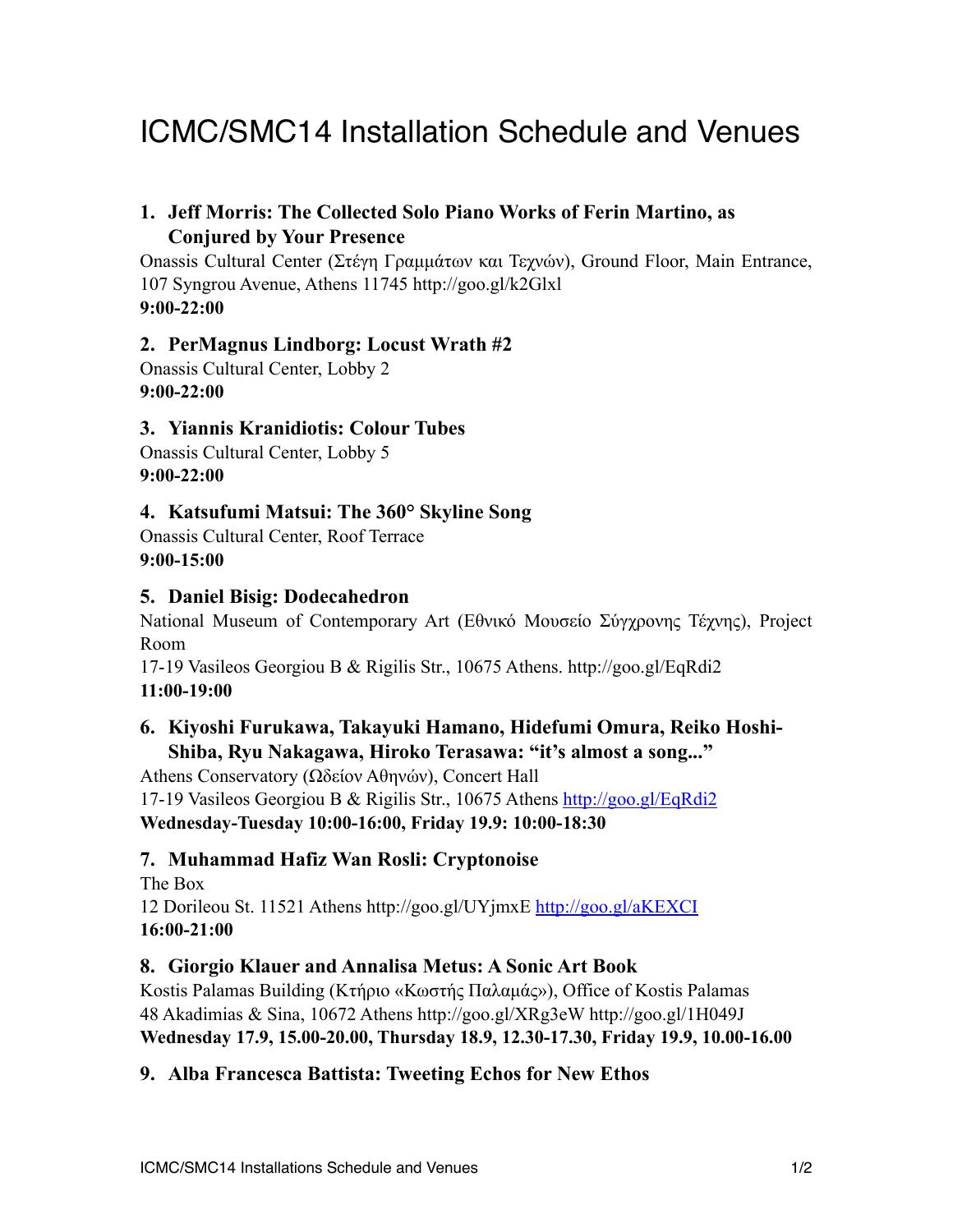# ICMC/SMC14 Installation Schedule and Venues

# **1. Jeff Morris: The Collected Solo Piano Works of Ferin Martino, as Conjured by Your Presence**

Onassis Cultural Center (Στέγη Γραµµάτων και Τεχνών), Ground Floor, Main Entrance, 107 Syngrou Avenue, Athens 11745 http://goo.gl/k2Glxl **9:00-22:00**

#### **2. PerMagnus Lindborg: Locust Wrath #2**

Onassis Cultural Center, Lobby 2 **9:00-22:00**

#### **3. Yiannis Kranidiotis: Colour Tubes**

Onassis Cultural Center, Lobby 5 **9:00-22:00**

#### **4. Katsufumi Matsui: The 360° Skyline Song**

Onassis Cultural Center, Roof Terrace **9:00-15:00**

#### **5. Daniel Bisig: Dodecahedron**

National Museum of Contemporary Art (Eθνικό Μουσείο Σύγχρονης Τέχνης), Project Room

17-19 Vasileos Georgiou Β & Rigilis Str., 10675 Athens. http://goo.gl/EqRdi2 **11:00-19:00**

## **6. Kiyoshi Furukawa, Takayuki Hamano, Hidefumi Omura, Reiko Hoshi-Shiba, Ryu Nakagawa, Hiroko Terasawa: "it's almost a song..."**

Athens Conservatory (Ωδείον Αθηνών), Concert Hall 17-19 Vasileos Georgiou Β & Rigilis Str., 10675 Athens <http://goo.gl/EqRdi2> **Wednesday-Tuesday 10:00-16:00, Friday 19.9: 10:00-18:30**

#### **7. Muhammad Hafiz Wan Rosli: Cryptonoise**

The Box 12 Dorileou St. 11521 Athens http://goo.gl/UYjmxE<http://goo.gl/aKEXCI> **16:00-21:00**

#### **8. Giorgio Klauer and Annalisa Metus: A Sonic Art Book**

Kostis Palamas Building (Κτήριο «Κωστής Παλαµάς»), Office of Kostis Palamas 48 Akadimias & Sina, 10672 Athens http://goo.gl/XRg3eW http://goo.gl/1H049J **Wednesday 17.9, 15.00-20.00, Thursday 18.9, 12.30-17.30, Friday 19.9, 10.00-16.00** 

#### **9. Alba Francesca Battista: Tweeting Echos for New Ethos**